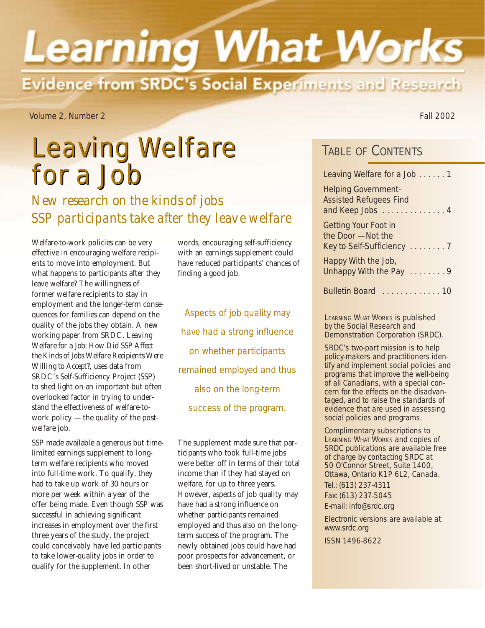# **Learning What Works** Evidence from SRDC's Social Experiments and Research

Volume 2, Number 2 Fall 2002

## Leaving Welfare Leaving Welfare for a Job Leaving Welfare for a Job . . . . . 1

*New research on the kinds of jobs SSP participants take after they leave welfare* 

Welfare-to-work policies can be very effective in encouraging welfare recipients to move into employment. But what happens to participants after they leave welfare? The willingness of former welfare recipients to stay in employment and the longer-term consequences for families can depend on the quality of the jobs they obtain. A new working paper from SRDC, *Leaving Welfare for a Job: How Did SSP Affect the Kinds of Jobs Welfare Recipients Were Willing to Accept?*, uses data from SRDC's Self-Sufficiency Project (SSP) to shed light on an important but often overlooked factor in trying to understand the effectiveness of welfare-towork policy — the quality of the postwelfare job.

SSP made available a generous but timelimited earnings supplement to longterm welfare recipients who moved into full-time work. To qualify, they had to take up work of 30 hours or more per week within a year of the offer being made. Even though SSP was successful in achieving significant increases in employment over the first three years of the study, the project could conceivably have led participants to take lower-quality jobs in order to qualify for the supplement. In other

words, encouraging self-sufficiency with an earnings supplement could have reduced participants' chances of finding a good job.

*Aspects of job quality may have had a strong influence on whether participants remained employed and thus also on the long-term success of the program.*

The supplement made sure that participants who took full-time jobs were better off in terms of their total income than if they had stayed on welfare, for up to three years. However, aspects of job quality may have had a strong influence on whether participants remained employed and thus also on the longterm success of the program. The newly obtained jobs could have had poor prospects for advancement, or been short-lived or unstable. The

## TABLE OF CONTENTS

| Leaving Welfare for a Job 1                                                     |
|---------------------------------------------------------------------------------|
| <b>Helping Government-</b><br><b>Assisted Refugees Find</b><br>and Keep Jobs  4 |
| Getting Your Foot in<br>the Door - Not the<br>Key to Self-Sufficiency 7         |
| Happy With the Job,<br>Unhappy With the Pay  9                                  |
| <b>Bulletin Board</b><br><u> 10. 10</u>                                         |

LEARNING WHAT WORKS is published by the Social Research and Demonstration Corporation (SRDC).

SRDC's two-part mission is to help policy-makers and practitioners identify and implement social policies and programs that improve the well-being of all Canadians, with a special concern for the effects on the disadvantaged, and to raise the standards of evidence that are used in assessing social policies and programs.

Complimentary subscriptions to LEARNING WHAT WORKS and copies of SRDC publications are available free of charge by contacting SRDC at 50 O'Connor Street, Suite 1400, Ottawa, Ontario K1P 6L2, Canada. Tel.: (613) 237-4311 Fax: (613) 237-5045 E-mail: info@srdc.org

Electronic versions are available at www.srdc.org

ISSN 1496-8622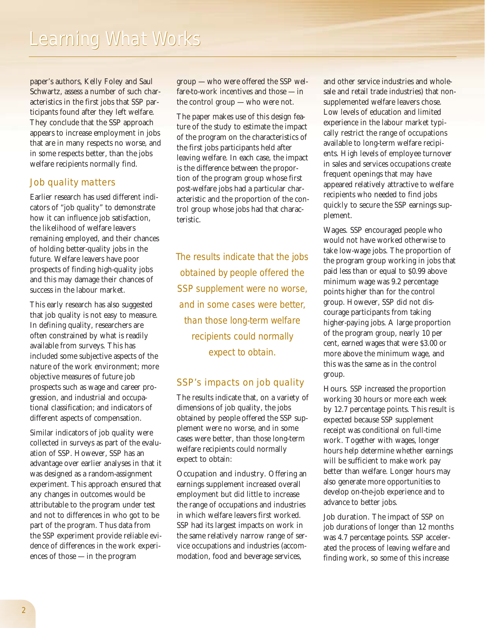paper's authors, Kelly Foley and Saul Schwartz, assess a number of such characteristics in the first jobs that SSP participants found after they left welfare. They conclude that the SSP approach appears to increase employment in jobs that are in many respects no worse, and in some respects better, than the jobs welfare recipients normally find.

## Job quality matters

Earlier research has used different indicators of "job quality" to demonstrate how it can influence job satisfaction, the likelihood of welfare leavers remaining employed, and their chances of holding better-quality jobs in the future. Welfare leavers have poor prospects of finding high-quality jobs and this may damage their chances of success in the labour market.

This early research has also suggested that job quality is not easy to measure. In defining quality, researchers are often constrained by what is readily available from surveys. This has included some subjective aspects of the nature of the work environment; more objective measures of future job prospects such as wage and career progression, and industrial and occupational classification; and indicators of different aspects of compensation.

Similar indicators of job quality were collected in surveys as part of the evaluation of SSP. However, SSP has an advantage over earlier analyses in that it was designed as a random-assignment experiment. This approach ensured that any changes in outcomes would be attributable to the program under test and not to differences in who got to be part of the program. Thus data from the SSP experiment provide reliable evidence of differences in the work experiences of those — in the program

group — who were offered the SSP welfare-to-work incentives and those — in the control group — who were not.

The paper makes use of this design feature of the study to estimate the impact of the program on the characteristics of the first jobs participants held after leaving welfare. In each case, the impact is the difference between the proportion of the program group whose first post-welfare jobs had a particular characteristic and the proportion of the control group whose jobs had that characteristic.

*The results indicate that the jobs obtained by people offered the SSP supplement were no worse, and in some cases were better, than those long-term welfare recipients could normally expect to obtain.*

## SSP's impacts on job quality

The results indicate that, on a variety of dimensions of job quality, the jobs obtained by people offered the SSP supplement were no worse, and in some cases were better, than those long-term welfare recipients could normally expect to obtain:

Occupation and industry. Offering an earnings supplement increased overall employment but did little to increase the range of occupations and industries in which welfare leavers first worked. SSP had its largest impacts on work in the same relatively narrow range of service occupations and industries (accommodation, food and beverage services,

and other service industries and wholesale and retail trade industries) that nonsupplemented welfare leavers chose. Low levels of education and limited experience in the labour market typically restrict the range of occupations available to long-term welfare recipients. High levels of employee turnover in sales and services occupations create frequent openings that may have appeared relatively attractive to welfare recipients who needed to find jobs quickly to secure the SSP earnings supplement.

Wages. SSP encouraged people who would not have worked otherwise to take low-wage jobs. The proportion of the program group working in jobs that paid less than or equal to \$0.99 above minimum wage was 9.2 percentage points higher than for the control group. However, SSP did not discourage participants from taking higher-paying jobs. A large proportion of the program group, nearly 10 per cent, earned wages that were \$3.00 or more above the minimum wage, and this was the same as in the control group.

Hours. SSP increased the proportion working 30 hours or more each week by 12.7 percentage points. This result is expected because SSP supplement receipt was conditional on full-time work. Together with wages, longer hours help determine whether earnings will be sufficient to make work pay better than welfare. Longer hours may also generate more opportunities to develop on-the-job experience and to advance to better jobs.

Job duration. The impact of SSP on job durations of longer than 12 months was 4.7 percentage points. SSP accelerated the process of leaving welfare and finding work, so some of this increase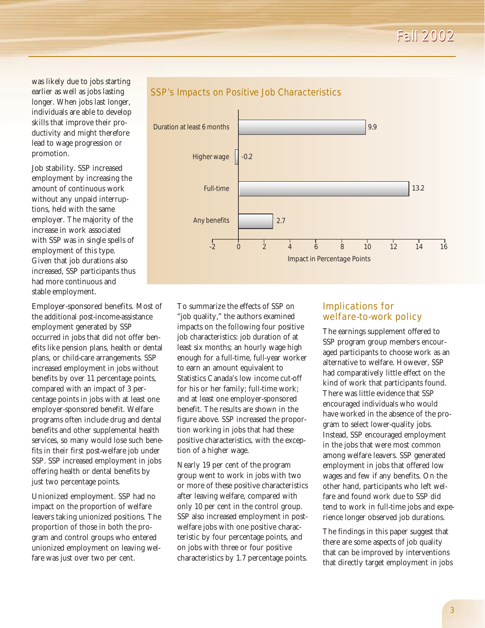*Fall 2002 Fall 2002*

was likely due to jobs starting earlier as well as jobs lasting longer. When jobs last longer, individuals are able to develop skills that improve their productivity and might therefore lead to wage progression or promotion.

Job stability. SSP increased employment by increasing the amount of continuous work without any unpaid interruptions, held with the same employer. The majority of the increase in work associated with SSP was in single spells of employment of this type. Given that job durations also increased, SSP participants thus had more continuous and stable employment.

Employer-sponsored benefits. Most of the additional post-income-assistance employment generated by SSP occurred in jobs that did not offer benefits like pension plans, health or dental plans, or child-care arrangements. SSP increased employment in jobs without benefits by over 11 percentage points, compared with an impact of 3 percentage points in jobs with at least one employer-sponsored benefit. Welfare programs often include drug and dental benefits and other supplemental health services, so many would lose such benefits in their first post-welfare job under SSP. SSP increased employment in jobs offering health or dental benefits by just two percentage points.

Unionized employment. SSP had no impact on the proportion of welfare leavers taking unionized positions. The proportion of those in both the program and control groups who entered unionized employment on leaving welfare was just over two per cent.



## SSP's Impacts on Positive Job Characteristics

To summarize the effects of SSP on "job quality," the authors examined impacts on the following four positive job characteristics: job duration of at least six months; an hourly wage high enough for a full-time, full-year worker to earn an amount equivalent to Statistics Canada's low income cut-off for his or her family; full-time work; and at least one employer-sponsored benefit. The results are shown in the figure above. SSP increased the proportion working in jobs that had these positive characteristics, with the exception of a higher wage.

Nearly 19 per cent of the program group went to work in jobs with two or more of these positive characteristics after leaving welfare, compared with only 10 per cent in the control group. SSP also increased employment in postwelfare jobs with one positive characteristic by four percentage points, and on jobs with three or four positive characteristics by 1.7 percentage points.

## Implications for welfare-to-work policy

The earnings supplement offered to SSP program group members encouraged participants to choose work as an alternative to welfare. However, SSP had comparatively little effect on the kind of work that participants found. There was little evidence that SSP encouraged individuals who would have worked in the absence of the program to select lower-quality jobs. Instead, SSP encouraged employment in the jobs that were most common among welfare leavers. SSP generated employment in jobs that offered low wages and few if any benefits. On the other hand, participants who left welfare and found work due to SSP did tend to work in full-time jobs and experience longer observed job durations.

The findings in this paper suggest that there are some aspects of job quality that can be improved by interventions that directly target employment in jobs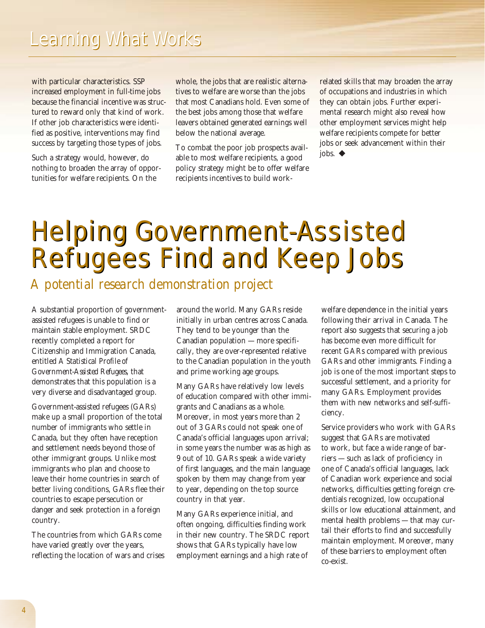with particular characteristics. SSP increased employment in full-time jobs because the financial incentive was structured to reward only that kind of work. If other job characteristics were identified as positive, interventions may find success by targeting those types of jobs.

Such a strategy would, however, do nothing to broaden the array of opportunities for welfare recipients. On the

whole, the jobs that are realistic alternatives to welfare are worse than the jobs that most Canadians hold. Even some of the best jobs among those that welfare leavers obtained generated earnings well below the national average.

To combat the poor job prospects available to most welfare recipients, a good policy strategy might be to offer welfare recipients incentives to build work-

related skills that may broaden the array of occupations and industries in which they can obtain jobs. Further experimental research might also reveal how other employment services might help welfare recipients compete for better jobs or seek advancement within their jobs.  $\triangleleft$ 

## Helping Government-Assisted Helping Government-Assisted Refugees Find and Keep Jobs Refugees Find and Keep Jobs

*A potential research demonstration project*

A substantial proportion of governmentassisted refugees is unable to find or maintain stable employment. SRDC recently completed a report for Citizenship and Immigration Canada, entitled *A Statistical Profile of Government-Assisted Refugees*, that demonstrates that this population is a very diverse and disadvantaged group.

Government-assisted refugees (GARs) make up a small proportion of the total number of immigrants who settle in Canada, but they often have reception and settlement needs beyond those of other immigrant groups. Unlike most immigrants who plan and choose to leave their home countries in search of better living conditions, GARs flee their countries to escape persecution or danger and seek protection in a foreign country.

The countries from which GARs come have varied greatly over the years, reflecting the location of wars and crises around the world. Many GARs reside initially in urban centres across Canada. They tend to be younger than the Canadian population — more specifically, they are over-represented relative to the Canadian population in the youth and prime working age groups.

Many GARs have relatively low levels of education compared with other immigrants and Canadians as a whole. Moreover, in most years more than 2 out of 3 GARs could not speak one of Canada's official languages upon arrival; in some years the number was as high as 9 out of 10. GARs speak a wide variety of first languages, and the main language spoken by them may change from year to year, depending on the top source country in that year.

Many GARs experience initial, and often ongoing, difficulties finding work in their new country. The SRDC report shows that GARs typically have low employment earnings and a high rate of

welfare dependence in the initial years following their arrival in Canada. The report also suggests that securing a job has become even more difficult for recent GARs compared with previous GARs and other immigrants. Finding a job is one of the most important steps to successful settlement, and a priority for many GARs. Employment provides them with new networks and self-sufficiency.

Service providers who work with GARs suggest that GARs are motivated to work, but face a wide range of barriers — such as lack of proficiency in one of Canada's official languages, lack of Canadian work experience and social networks, difficulties getting foreign credentials recognized, low occupational skills or low educational attainment, and mental health problems — that may curtail their efforts to find and successfully maintain employment. Moreover, many of these barriers to employment often co-exist.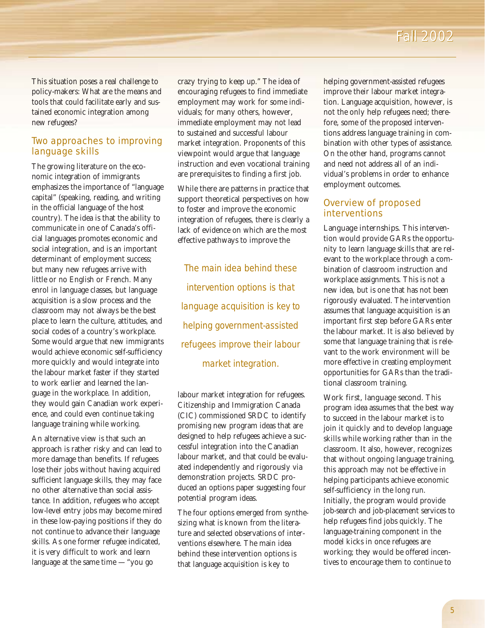This situation poses a real challenge to policy-makers: What are the means and tools that could facilitate early and sustained economic integration among new refugees?

## Two approaches to improving language skills

The growing literature on the economic integration of immigrants emphasizes the importance of "language capital" (speaking, reading, and writing in the official language of the host country). The idea is that the ability to communicate in one of Canada's official languages promotes economic and social integration, and is an important determinant of employment success; but many new refugees arrive with little or no English or French. Many enrol in language classes, but language acquisition is a slow process and the classroom may not always be the best place to learn the culture, attitudes, and social codes of a country's workplace. Some would argue that new immigrants would achieve economic self-sufficiency more quickly and would integrate into the labour market faster if they started to work earlier and learned the language in the workplace. In addition, they would gain Canadian work experience, and could even continue taking language training while working.

An alternative view is that such an approach is rather risky and can lead to more damage than benefits. If refugees lose their jobs without having acquired sufficient language skills, they may face no other alternative than social assistance. In addition, refugees who accept low-level entry jobs may become mired in these low-paying positions if they do not continue to advance their language skills. As one former refugee indicated, it is very difficult to work and learn language at the same time  $-$  "you go

crazy trying to keep up." The idea of encouraging refugees to find immediate employment may work for some individuals; for many others, however, immediate employment may not lead to sustained and successful labour market integration. Proponents of this viewpoint would argue that language instruction and even vocational training are prerequisites to finding a first job.

While there are patterns in practice that support theoretical perspectives on how to foster and improve the economic integration of refugees, there is clearly a lack of evidence on which are the most effective pathways to improve the

*The main idea behind these intervention options is that language acquisition is key to helping government-assisted refugees improve their labour market integration.* 

labour market integration for refugees. Citizenship and Immigration Canada (CIC) commissioned SRDC to identify promising new program ideas that are designed to help refugees achieve a successful integration into the Canadian labour market, and that could be evaluated independently and rigorously via demonstration projects. SRDC produced an options paper suggesting four potential program ideas.

The four options emerged from synthesizing what is known from the literature and selected observations of interventions elsewhere. The main idea behind these intervention options is that language acquisition is key to

helping government-assisted refugees improve their labour market integration. Language acquisition, however, is not the only help refugees need; therefore, some of the proposed interventions address language training in combination with other types of assistance. On the other hand, programs cannot and need not address all of an individual's problems in order to enhance employment outcomes.

## Overview of proposed interventions

Language internships. This intervention would provide GARs the opportunity to learn language skills that are relevant to the workplace through a combination of classroom instruction and workplace assignments. This is not a new idea, but is one that has not been rigorously evaluated. The intervention assumes that language acquisition is an important first step before GARs enter the labour market. It is also believed by some that language training that is relevant to the work environment will be more effective in creating employment opportunities for GARs than the traditional classroom training.

Work first, language second. This program idea assumes that the best way to succeed in the labour market is to join it quickly and to develop language skills while working rather than in the classroom. It also, however, recognizes that without ongoing language training, this approach may not be effective in helping participants achieve economic self-sufficiency in the long run. Initially, the program would provide job-search and job-placement services to help refugees find jobs quickly. The language-training component in the model kicks in once refugees are working; they would be offered incentives to encourage them to continue to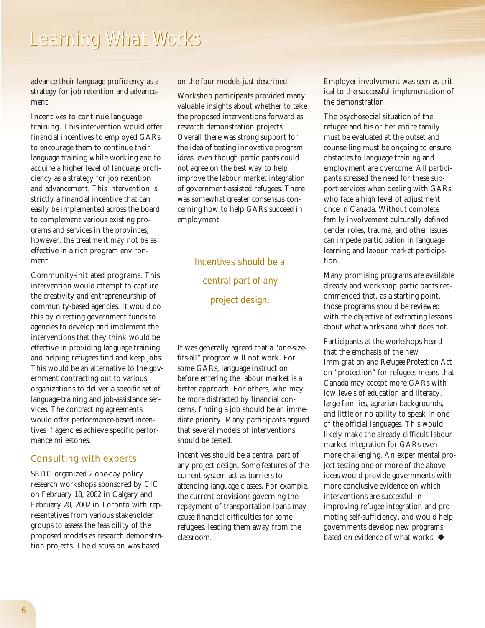advance their language proficiency as a strategy for job retention and advancement.

Incentives to continue language training. This intervention would offer financial incentives to employed GARs to encourage them to continue their language training while working and to acquire a higher level of language proficiency as a strategy for job retention and advancement. This intervention is strictly a financial incentive that can easily be implemented across the board to complement various existing programs and services in the provinces; however, the treatment may not be as effective in a rich program environment.

Community-initiated programs. This intervention would attempt to capture the creativity and entrepreneurship of community-based agencies. It would do this by directing government funds to agencies to develop and implement the interventions that they think would be effective in providing language training and helping refugees find and keep jobs. This would be an alternative to the government contracting out to various organizations to deliver a specific set of language-training and job-assistance services. The contracting agreements would offer performance-based incentives if agencies achieve specific performance milestones.

## Consulting with experts

SRDC organized 2 one-day policy research workshops sponsored by CIC on February 18, 2002 in Calgary and February 20, 2002 in Toronto with representatives from various stakeholder groups to assess the feasibility of the proposed models as research demonstration projects. The discussion was based

on the four models just described.

Workshop participants provided many valuable insights about whether to take the proposed interventions forward as research demonstration projects. Overall there was strong support for the idea of testing innovative program ideas, even though participants could not agree on the best way to help improve the labour market integration of government-assisted refugees. There was somewhat greater consensus concerning how to help GARs succeed in employment.

> *Incentives should be a central part of any project design.*

It was generally agreed that a "one-sizefits-all" program will not work. For some GARs, language instruction before entering the labour market is a better approach. For others, who may be more distracted by financial concerns, finding a job should be an immediate priority. Many participants argued that several models of interventions should be tested.

Incentives should be a central part of any project design. Some features of the current system act as barriers to attending language classes. For example, the current provisions governing the repayment of transportation loans may cause financial difficulties for some refugees, leading them away from the classroom.

Employer involvement was seen as critical to the successful implementation of the demonstration.

The psychosocial situation of the refugee and his or her entire family must be evaluated at the outset and counselling must be ongoing to ensure obstacles to language training and employment are overcome. All participants stressed the need for these support services when dealing with GARs who face a high level of adjustment once in Canada. Without complete family involvement culturally defined gender roles, trauma, and other issues can impede participation in language learning and labour market participation.

Many promising programs are available already and workshop participants recommended that, as a starting point, those programs should be reviewed with the objective of extracting lessons about what works and what does not.

Participants at the workshops heard that the emphasis of the new *Immigration and Refugee Protection Act* on "protection" for refugees means that Canada may accept more GARs with low levels of education and literacy, large families, agrarian backgrounds, and little or no ability to speak in one of the official languages. This would likely make the already difficult labour market integration for GARs even more challenging. An experimental project testing one or more of the above ideas would provide governments with more conclusive evidence on which interventions are successful in improving refugee integration and promoting self-sufficiency, and would help governments develop new programs based on evidence of what works.  $\blacklozenge$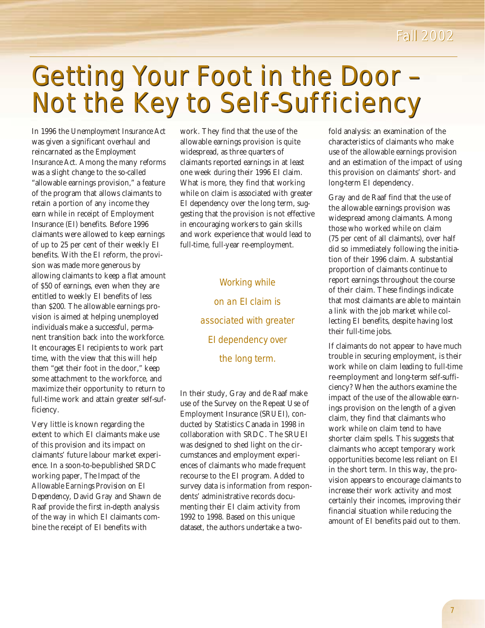## *Fall 2002 Fall 2002*

## Getting Your Foot in the Door – Not the Key to Self-Sufficiency Getting Your Foot in the Door – Not the Key to Self-Sufficiency

In 1996 the *Unemployment Insurance Act* was given a significant overhaul and reincarnated as the *Employment Insurance Act*. Among the many reforms was a slight change to the so-called "allowable earnings provision," a feature of the program that allows claimants to retain a portion of any income they earn while in receipt of Employment Insurance (EI) benefits. Before 1996 claimants were allowed to keep earnings of up to 25 per cent of their weekly EI benefits. With the EI reform, the provision was made more generous by allowing claimants to keep a flat amount of \$50 of earnings, even when they are entitled to weekly EI benefits of less than \$200. The allowable earnings provision is aimed at helping unemployed individuals make a successful, permanent transition back into the workforce. It encourages EI recipients to work part time, with the view that this will help them "get their foot in the door," keep some attachment to the workforce, and maximize their opportunity to return to full-time work and attain greater self-sufficiency.

Very little is known regarding the extent to which EI claimants make use of this provision and its impact on claimants' future labour market experience. In a soon-to-be-published SRDC working paper, *The Impact of the Allowable Earnings Provision on EI Dependency*, David Gray and Shawn de Raaf provide the first in-depth analysis of the way in which EI claimants combine the receipt of EI benefits with

work. They find that the use of the allowable earnings provision is quite widespread, as three quarters of claimants reported earnings in at least one week during their 1996 EI claim. What is more, they find that working while on claim is associated with greater EI dependency over the long term, suggesting that the provision is not effective in encouraging workers to gain skills and work experience that would lead to full-time, full-year re-employment.

> *Working while on an EI claim is associated with greater EI dependency over the long term.*

In their study, Gray and de Raaf make use of the Survey on the Repeat Use of Employment Insurance (SRUEI), conducted by Statistics Canada in 1998 in collaboration with SRDC. The SRUEI was designed to shed light on the circumstances and employment experiences of claimants who made frequent recourse to the EI program. Added to survey data is information from respondents' administrative records documenting their EI claim activity from 1992 to 1998. Based on this unique dataset, the authors undertake a twofold analysis: an examination of the characteristics of claimants who make use of the allowable earnings provision and an estimation of the impact of using this provision on claimants' short- and long-term EI dependency.

Gray and de Raaf find that the use of the allowable earnings provision was widespread among claimants. Among those who worked while on claim (75 per cent of all claimants), over half did so immediately following the initiation of their 1996 claim. A substantial proportion of claimants continue to report earnings throughout the course of their claim. These findings indicate that most claimants are able to maintain a link with the job market while collecting EI benefits, despite having lost their full-time jobs.

If claimants do not appear to have much trouble in securing employment, is their work while on claim leading to full-time re-employment and long-term self-sufficiency? When the authors examine the impact of the use of the allowable earnings provision on the length of a given claim, they find that claimants who work while on claim tend to have shorter claim spells. This suggests that claimants who accept temporary work opportunities become less reliant on EI in the short term. In this way, the provision appears to encourage claimants to increase their work activity and most certainly their incomes, improving their financial situation while reducing the amount of EI benefits paid out to them.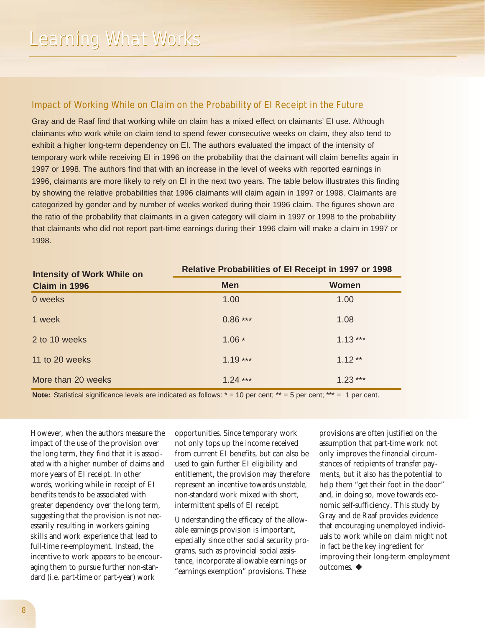## Impact of Working While on Claim on the Probability of EI Receipt in the Future

Gray and de Raaf find that working while on claim has a mixed effect on claimants' EI use. Although claimants who work while on claim tend to spend fewer consecutive weeks on claim, they also tend to exhibit a higher long-term dependency on EI. The authors evaluated the impact of the intensity of temporary work while receiving EI in 1996 on the probability that the claimant will claim benefits again in 1997 or 1998. The authors find that with an increase in the level of weeks with reported earnings in 1996, claimants are more likely to rely on EI in the next two years. The table below illustrates this finding by showing the relative probabilities that 1996 claimants will claim again in 1997 or 1998. Claimants are categorized by gender and by number of weeks worked during their 1996 claim. The figures shown are the ratio of the probability that claimants in a given category will claim in 1997 or 1998 to the probability that claimants who did not report part-time earnings during their 1996 claim will make a claim in 1997 or 1998.

| <b>Intensity of Work While on</b><br>Claim in 1996 | <b>Relative Probabilities of El Receipt in 1997 or 1998</b> |           |
|----------------------------------------------------|-------------------------------------------------------------|-----------|
|                                                    | <b>Men</b>                                                  | Women     |
| 0 weeks                                            | 1.00                                                        | 1.00      |
| 1 week                                             | $0.86***$                                                   | 1.08      |
| 2 to 10 weeks                                      | $1.06*$                                                     | $1.13***$ |
| 11 to 20 weeks                                     | $1.19***$                                                   | $1.12**$  |
| More than 20 weeks                                 | $1.24***$                                                   | $1.23***$ |

**Note:** Statistical significance levels are indicated as follows: \* = 10 per cent; \*\* = 5 per cent; \*\*\* = 1 per cent.

However, when the authors measure the impact of the use of the provision over the long term, they find that it is associated with a higher number of claims and more years of EI receipt. In other words, working while in receipt of EI benefits tends to be associated with greater dependency over the long term, suggesting that the provision is not necessarily resulting in workers gaining skills and work experience that lead to full-time re-employment. Instead, the incentive to work appears to be encouraging them to pursue further non-standard (i.e. part-time or part-year) work

opportunities. Since temporary work not only tops up the income received from current EI benefits, but can also be used to gain further EI eligibility and entitlement, the provision may therefore represent an incentive towards unstable, non-standard work mixed with short, intermittent spells of EI receipt.

Understanding the efficacy of the allowable earnings provision is important, especially since other social security programs, such as provincial social assistance, incorporate allowable earnings or "earnings exemption" provisions. These

provisions are often justified on the assumption that part-time work not only improves the financial circumstances of recipients of transfer payments, but it also has the potential to help them "get their foot in the door" and, in doing so, move towards economic self-sufficiency. This study by Gray and de Raaf provides evidence that encouraging unemployed individuals to work while on claim might not in fact be the key ingredient for improving their long-term employment outcomes.  $\blacklozenge$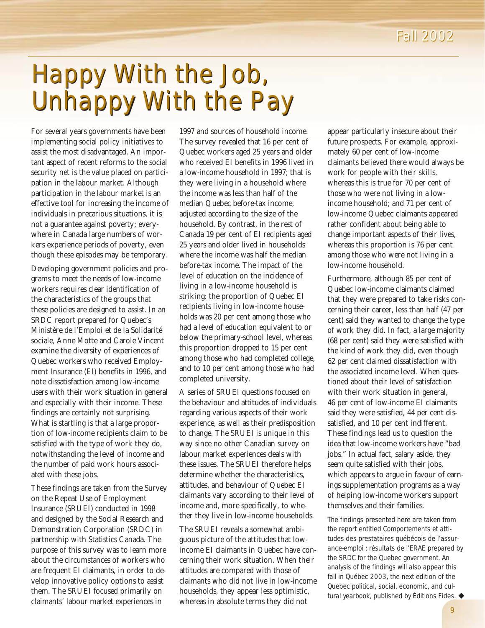## Happy With the Job, Happy With the Job, Unhappy With the Pay Unhappy With the Pay

For several years governments have been implementing social policy initiatives to assist the most disadvantaged. An important aspect of recent reforms to the social security net is the value placed on participation in the labour market. Although participation in the labour market is an effective tool for increasing the income of individuals in precarious situations, it is not a guarantee against poverty; everywhere in Canada large numbers of workers experience periods of poverty, even though these episodes may be temporary.

Developing government policies and programs to meet the needs of low-income workers requires clear identification of the characteristics of the groups that these policies are designed to assist. In an SRDC report prepared for Quebec's Ministère de l'Emploi et de la Solidarité sociale, Anne Motte and Carole Vincent examine the diversity of experiences of Quebec workers who received Employment Insurance (EI) benefits in 1996, and note dissatisfaction among low-income users with their work situation in general and especially with their income. These findings are certainly not surprising. What is startling is that a large proportion of low-income recipients claim to be satisfied with the type of work they do, notwithstanding the level of income and the number of paid work hours associated with these jobs.

These findings are taken from the Survey on the Repeat Use of Employment Insurance (SRUEI) conducted in 1998 and designed by the Social Research and Demonstration Corporation (SRDC) in partnership with Statistics Canada. The purpose of this survey was to learn more about the circumstances of workers who are frequent EI claimants, in order to develop innovative policy options to assist them. The SRUEI focused primarily on claimants' labour market experiences in

1997 and sources of household income. The survey revealed that 16 per cent of Quebec workers aged 25 years and older who received EI benefits in 1996 lived in a low-income household in 1997; that is they were living in a household where the income was less than half of the median Quebec before-tax income, adjusted according to the size of the household. By contrast, in the rest of Canada 19 per cent of EI recipients aged 25 years and older lived in households where the income was half the median before-tax income. The impact of the level of education on the incidence of living in a low-income household is striking: the proportion of Quebec EI recipients living in low-income households was 20 per cent among those who had a level of education equivalent to or below the primary-school level, whereas this proportion dropped to 15 per cent among those who had completed college, and to 10 per cent among those who had completed university.

A series of SRUEI questions focused on the behaviour and attitudes of individuals regarding various aspects of their work experience, as well as their predisposition to change. The SRUEI is unique in this way since no other Canadian survey on labour market experiences deals with these issues. The SRUEI therefore helps determine whether the characteristics, attitudes, and behaviour of Quebec EI claimants vary according to their level of income and, more specifically, to whether they live in low-income households.

The SRUEI reveals a somewhat ambiguous picture of the attitudes that lowincome EI claimants in Quebec have concerning their work situation. When their attitudes are compared with those of claimants who did not live in low-income households, they appear less optimistic, whereas in absolute terms they did not

appear particularly insecure about their future prospects. For example, approximately 60 per cent of low-income claimants believed there would always be work for people with their skills, whereas this is true for 70 per cent of those who were not living in a lowincome household; and 71 per cent of low-income Quebec claimants appeared rather confident about being able to change important aspects of their lives, whereas this proportion is 76 per cent among those who were not living in a low-income household.

Furthermore, although 85 per cent of Quebec low-income claimants claimed that they were prepared to take risks concerning their career, less than half (47 per cent) said they wanted to change the type of work they did. In fact, a large majority (68 per cent) said they were satisfied with the kind of work they did, even though 62 per cent claimed dissatisfaction with the associated income level. When questioned about their level of satisfaction with their work situation in general, 46 per cent of low-income EI claimants said they were satisfied, 44 per cent dissatisfied, and 10 per cent indifferent. These findings lead us to question the idea that low-income workers have "bad jobs." In actual fact, salary aside, they seem quite satisfied with their jobs, which appears to argue in favour of earnings supplementation programs as a way of helping low-income workers support themselves and their families.

The findings presented here are taken from the report entitled *Comportements et attitudes des prestataires québécois de l'assurance-emploi : résultats de l'ERAE* prepared by the SRDC for the Quebec government. An analysis of the findings will also appear this fall in *Québec 2003*, the next edition of the Quebec political, social, economic, and cultural yearbook, published by Éditions Fides. ♦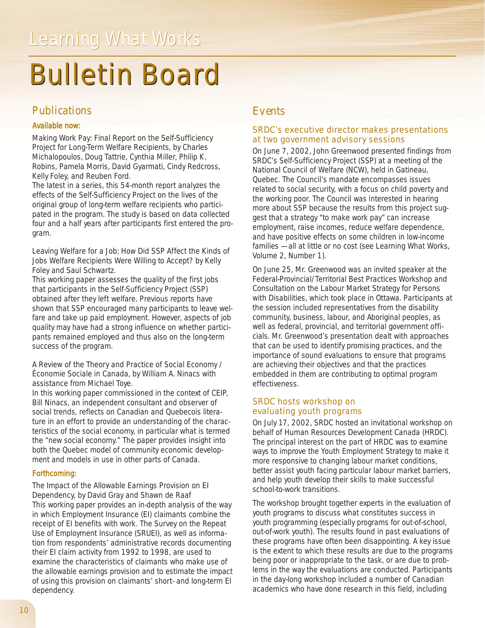## **Bulletin Board**

## *Publications*

### *Available now:*

*Making Work Pay: Final Report on the Self-Sufficiency Project for Long-Term Welfare Recipients*, by Charles Michalopoulos, Doug Tattrie, Cynthia Miller, Philip K. Robins, Pamela Morris, David Gyarmati, Cindy Redcross, Kelly Foley, and Reuben Ford.

The latest in a series, this 54-month report analyzes the effects of the Self-Sufficiency Project on the lives of the original group of long-term welfare recipients who participated in the program. The study is based on data collected four and a half years after participants first entered the program.

#### *Leaving Welfare for a Job: How Did SSP Affect the Kinds of Jobs Welfare Recipients Were Willing to Accept?* by Kelly Foley and Saul Schwartz.

This working paper assesses the quality of the first jobs that participants in the Self-Sufficiency Project (SSP) obtained after they left welfare. Previous reports have shown that SSP encouraged many participants to leave welfare and take up paid employment. However, aspects of job quality may have had a strong influence on whether participants remained employed and thus also on the long-term success of the program.

#### *A Review of the Theory and Practice of Social Economy / Économie Sociale in Canada*, by William A. Ninacs with assistance from Michael Toye.

In this working paper commissioned in the context of CEIP, Bill Ninacs, an independent consultant and observer of social trends, reflects on Canadian and Quebecois literature in an effort to provide an understanding of the characteristics of the social economy, in particular what is termed the "new social economy." The paper provides insight into both the Quebec model of community economic development and models in use in other parts of Canada.

## *Forthcoming:*

*The Impact of the Allowable Earnings Provision on EI Dependency,* by David Gray and Shawn de Raaf This working paper provides an in-depth analysis of the way in which Employment Insurance (EI) claimants combine the receipt of EI benefits with work. The Survey on the Repeat Use of Employment Insurance (SRUEI), as well as information from respondents' administrative records documenting their EI claim activity from 1992 to 1998, are used to examine the characteristics of claimants who make use of the allowable earnings provision and to estimate the impact of using this provision on claimants' short- and long-term EI dependency.

## *Events*

## SRDC's executive director makes presentations at two government advisory sessions

On June 7, 2002, John Greenwood presented findings from SRDC's Self-Sufficiency Project (SSP) at a meeting of the National Council of Welfare (NCW), held in Gatineau, Quebec. The Council's mandate encompasses issues related to social security, with a focus on child poverty and the working poor. The Council was interested in hearing more about SSP because the results from this project suggest that a strategy "to make work pay" can increase employment, raise incomes, reduce welfare dependence, and have positive effects on some children in low-income families — all at little or no cost (see *Learning What Works, Volume 2, Number 1*).

On June 25, Mr. Greenwood was an invited speaker at the Federal-Provincial/Territorial *Best Practices Workshop and Consultation on the Labour Market Strategy for Persons with Disabilities*, which took place in Ottawa. Participants at the session included representatives from the disability community, business, labour, and Aboriginal peoples, as well as federal, provincial, and territorial government officials. Mr. Greenwood's presentation dealt with approaches that can be used to identify promising practices, and the importance of sound evaluations to ensure that programs are achieving their objectives and that the practices embedded in them are contributing to optimal program effectiveness.

### SRDC hosts workshop on evaluating youth programs

On July 17, 2002, SRDC hosted an invitational workshop on behalf of Human Resources Development Canada (HRDC). The principal interest on the part of HRDC was to examine ways to improve the Youth Employment Strategy to make it more responsive to changing labour market conditions, better assist youth facing particular labour market barriers, and help youth develop their skills to make successful school-to-work transitions.

The workshop brought together experts in the evaluation of youth programs to discuss what constitutes success in youth programming (especially programs for out-of-school, out-of-work youth). The results found in past evaluations of these programs have often been disappointing. A key issue is the extent to which these results are due to the programs being poor or inappropriate to the task, or are due to problems in the way the evaluations are conducted. Participants in the day-long workshop included a number of Canadian academics who have done research in this field, including